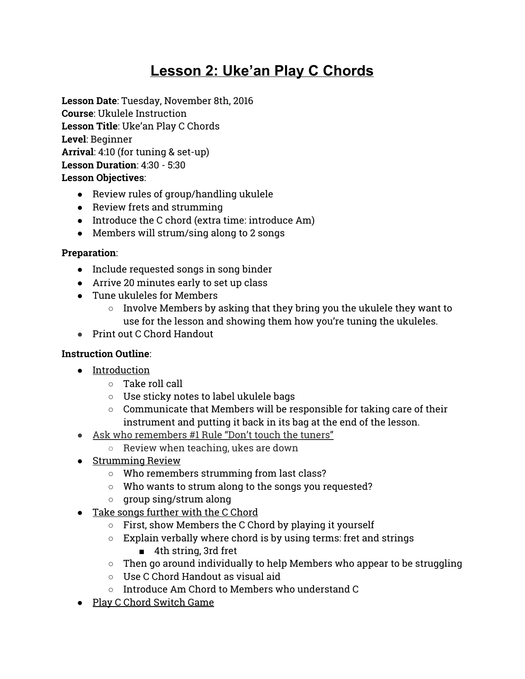# **Lesson 2: Uke'an Play C Chords**

**Lesson Date**: Tuesday, November 8th, 2016 **Course**: Ukulele Instruction **Lesson Title**: Uke'an Play C Chords **Level**: Beginner **Arrival**: 4:10 (for tuning & set-up) **Lesson Duration**: 4:30 - 5:30 **Lesson Objectives**:

- Review rules of group/handling ukulele
- Review frets and strumming
- Introduce the C chord (extra time: introduce Am)
- Members will strum/sing along to 2 songs

#### **Preparation**:

- Include requested songs in song binder
- Arrive 20 minutes early to set up class
- Tune ukuleles for Members
	- Involve Members by asking that they bring you the ukulele they want to use for the lesson and showing them how you're tuning the ukuleles.
- Print out C Chord Handout

#### **Instruction Outline**:

- Introduction
	- Take roll call
	- Use sticky notes to label ukulele bags
	- Communicate that Members will be responsible for taking care of their instrument and putting it back in its bag at the end of the lesson.
- Ask who remembers #1 Rule "Don't touch the tuners"
	- Review when teaching, ukes are down
- Strumming Review
	- Who remembers strumming from last class?
	- Who wants to strum along to the songs you requested?
	- group sing/strum along
- Take songs further with the C Chord
	- First, show Members the C Chord by playing it yourself
	- Explain verbally where chord is by using terms: fret and strings
		- 4th string, 3rd fret
	- $\circ$  Then go around individually to help Members who appear to be struggling
	- Use C Chord Handout as visual aid
	- Introduce Am Chord to Members who understand C
- Play C Chord Switch Game